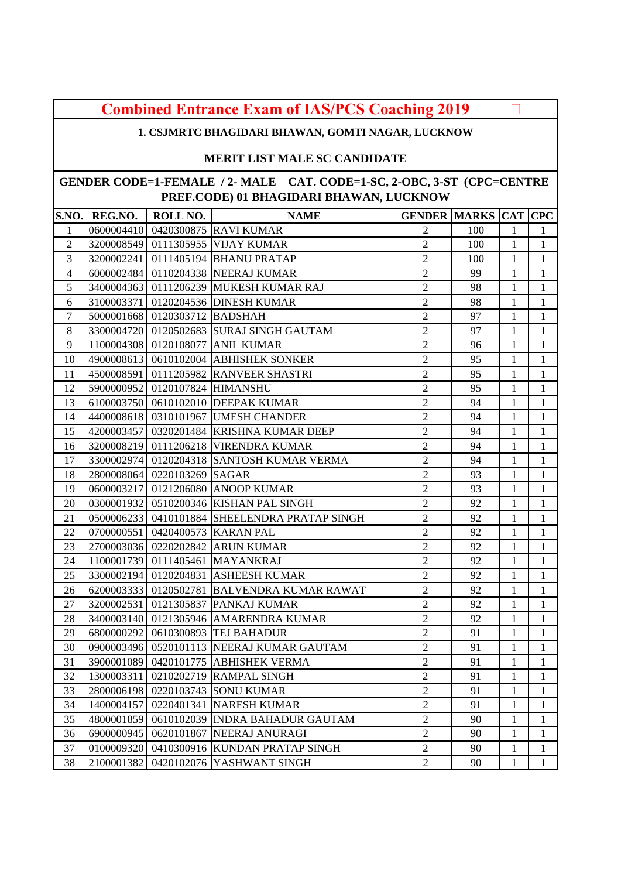| <b>Combined Entrance Exam of IAS/PCS Coaching 2019</b> |  |  |
|--------------------------------------------------------|--|--|
|--------------------------------------------------------|--|--|

**1. CSJMRTC BHAGIDARI BHAWAN, GOMTI NAGAR, LUCKNOW** 

### **MERIT LIST MALE SC CANDIDATE**

| <b>S.NO.</b>   | REG.NO.    | ROLL NO.                       | <b>NAME</b>                                   | <b>GENDER MARKS CAT CPC</b> |     |                |              |
|----------------|------------|--------------------------------|-----------------------------------------------|-----------------------------|-----|----------------|--------------|
| $\mathbf{1}$   |            |                                | 0600004410 0420300875 RAVI KUMAR              | $\overline{2}$              | 100 | $\mathbf{1}$   | $\mathbf{1}$ |
| $\mathfrak{2}$ |            |                                | 3200008549 0111305955 VIJAY KUMAR             | $\overline{2}$              | 100 | 1              | $\mathbf{1}$ |
| 3              |            |                                | 3200002241 0111405194 BHANU PRATAP            | $\overline{2}$              | 100 | 1              | 1            |
| $\overline{4}$ |            |                                | 6000002484 0110204338 NEERAJ KUMAR            | $\overline{2}$              | 99  | $\mathbf{1}$   | $\mathbf{1}$ |
| 5              |            |                                | 3400004363 0111206239 MUKESH KUMAR RAJ        | $\overline{2}$              | 98  | $\mathbf{1}$   | $\mathbf{1}$ |
| 6              |            |                                | 3100003371 0120204536 DINESH KUMAR            | $\overline{2}$              | 98  | $\mathbf{1}$   | 1            |
| $\tau$         |            | 5000001668 0120303712 BADSHAH  |                                               | $\overline{2}$              | 97  | $\mathbf{1}$   | 1            |
| $8\,$          |            |                                | 3300004720 0120502683 SURAJ SINGH GAUTAM      | $\overline{2}$              | 97  | $\mathbf{1}$   | $\mathbf{1}$ |
| 9              |            |                                | 1100004308 0120108077 ANIL KUMAR              | $\overline{2}$              | 96  | $\mathbf{1}$   | $\mathbf{1}$ |
| 10             |            |                                | 4900008613 0610102004 ABHISHEK SONKER         | $\overline{c}$              | 95  | $\mathbf{1}$   | 1            |
| 11             |            |                                | 4500008591 0111205982 RANVEER SHASTRI         | $\overline{2}$              | 95  | $\mathbf{1}$   | $\mathbf{1}$ |
| 12             |            | 5900000952 0120107824 HIMANSHU |                                               | $\overline{2}$              | 95  | $\mathbf{1}$   | $\mathbf{1}$ |
| 13             |            |                                | 6100003750 0610102010 DEEPAK KUMAR            | $\overline{2}$              | 94  | 1              | 1            |
| 14             |            |                                | 4400008618 0310101967 UMESH CHANDER           | $\overline{2}$              | 94  | $\mathbf{1}$   | $\mathbf{1}$ |
| 15             |            |                                | 4200003457 0320201484 KRISHNA KUMAR DEEP      | $\overline{2}$              | 94  | $\mathbf{1}$   | 1            |
| 16             |            |                                | 3200008219 0111206218 VIRENDRA KUMAR          | $\overline{2}$              | 94  | $\mathbf{1}$   | $\mathbf{1}$ |
| 17             |            |                                | 3300002974 0120204318 SANTOSH KUMAR VERMA     | $\overline{2}$              | 94  | $\mathbf{1}$   | 1            |
| 18             |            | 2800008064 0220103269 SAGAR    |                                               | $\overline{2}$              | 93  | $\mathbf{1}$   | $\mathbf{1}$ |
| 19             |            |                                | 0600003217 0121206080 ANOOP KUMAR             | $\overline{2}$              | 93  | $\mathbf{1}$   | $\mathbf{1}$ |
| 20             |            |                                | 0300001932 0510200346 KISHAN PAL SINGH        | $\overline{2}$              | 92  | $\mathbf{1}$   | $\mathbf{1}$ |
| 21             |            |                                | 0500006233 0410101884 SHEELENDRA PRATAP SINGH | $\overline{2}$              | 92  | $\mathbf{1}$   | $\mathbf{1}$ |
| 22             |            |                                | 0700000551 0420400573 KARAN PAL               | $\overline{2}$              | 92  | $\mathbf{1}$   | $\mathbf{1}$ |
| 23             |            |                                | 2700003036 0220202842 ARUN KUMAR              | $\overline{2}$              | 92  | $\mathbf{1}$   | $\mathbf{1}$ |
| 24             |            |                                | 1100001739 0111405461 MAYANKRAJ               | $\overline{2}$              | 92  | $\mathbf{1}$   | $\mathbf{1}$ |
| 25             |            |                                | 3300002194 0120204831 ASHEESH KUMAR           | $\overline{2}$              | 92  | $\mathbf{1}$   | $\mathbf{1}$ |
| 26             |            |                                | 6200003333 0120502781 BALVENDRA KUMAR RAWAT   | $\overline{2}$              | 92  | $\mathbf{1}$   | $\mathbf{1}$ |
| 27             |            |                                | 3200002531 0121305837 PANKAJ KUMAR            | $\overline{2}$              | 92  | $\mathbf{1}$   | 1            |
| 28             |            |                                | 3400003140 0121305946 AMARENDRA KUMAR         | $\overline{2}$              | 92  | 1              | 1            |
| 29             |            |                                | 6800000292 0610300893 TEJ BAHADUR             | $\overline{2}$              | 91  | $\mathbf{1}$   | $\mathbf 1$  |
| 30             |            |                                | 0900003496 0520101113 NEERAJ KUMAR GAUTAM     | $\overline{2}$              | 91  | $\mathbf{1}$   | $\mathbf{1}$ |
| 31             |            |                                | 3900001089 0420101775 ABHISHEK VERMA          | $\overline{2}$              | 91  | $\mathbf{1}$   | $\mathbf{1}$ |
| 32             |            |                                | 1300003311 0210202719 RAMPAL SINGH            | $\sqrt{2}$                  | 91  | $\overline{1}$ | $\mathbf{1}$ |
| 33             |            |                                | 2800006198 0220103743 SONU KUMAR              | $\overline{2}$              | 91  | 1              | 1            |
| 34             | 1400004157 |                                | 0220401341 NARESH KUMAR                       | $\overline{2}$              | 91  | 1              | $\mathbf{1}$ |
| 35             | 4800001859 |                                | 0610102039 INDRA BAHADUR GAUTAM               | $\overline{c}$              | 90  | 1              | 1            |
| 36             | 6900000945 |                                | 0620101867 NEERAJ ANURAGI                     | $\overline{2}$              | 90  | 1              | 1            |
| 37             | 0100009320 |                                | 0410300916 KUNDAN PRATAP SINGH                | $\overline{2}$              | 90  | 1              | 1            |
| 38             | 2100001382 |                                | 0420102076 YASHWANT SINGH                     | $\overline{2}$              | 90  | 1              | $\mathbf{1}$ |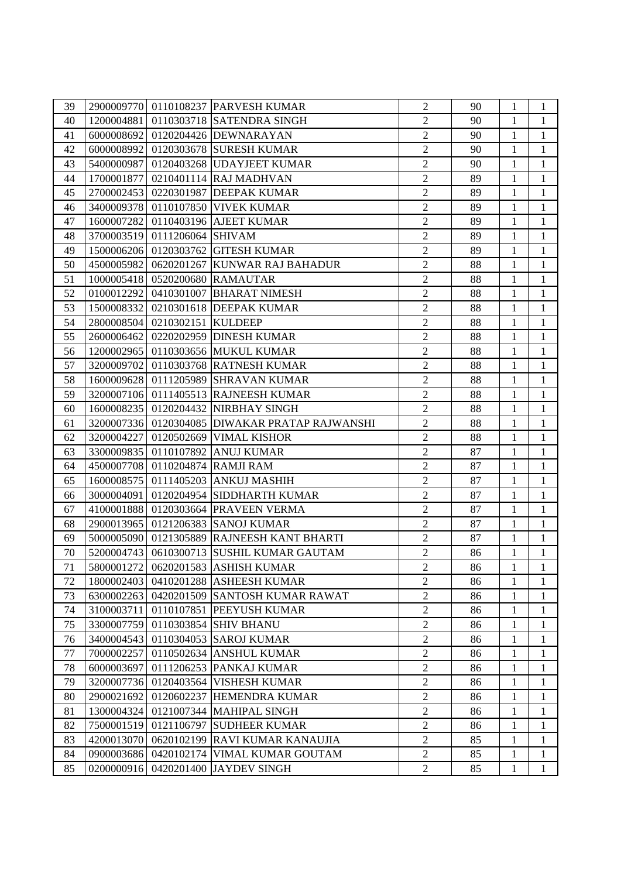| 39 |            |                               | 2900009770 0110108237 PARVESH KUMAR            | $\overline{2}$ | 90 | 1            | $\mathbf{1}$   |
|----|------------|-------------------------------|------------------------------------------------|----------------|----|--------------|----------------|
| 40 |            |                               | 1200004881 0110303718 SATENDRA SINGH           | $\overline{2}$ | 90 | $\mathbf{1}$ | $\mathbf{1}$   |
| 41 |            |                               | 6000008692 0120204426 DEWNARAYAN               | $\overline{2}$ | 90 | $\mathbf{1}$ | 1              |
| 42 |            |                               | 6000008992 0120303678 SURESH KUMAR             | $\overline{2}$ | 90 | 1            | 1              |
| 43 |            |                               | 5400000987 0120403268 UDAYJEET KUMAR           | $\overline{c}$ | 90 | $\mathbf{1}$ | $\mathbf{1}$   |
| 44 |            |                               | 1700001877 0210401114 RAJ MADHVAN              | $\overline{2}$ | 89 | $\mathbf{1}$ | $\mathbf{1}$   |
| 45 |            |                               | 2700002453 0220301987 DEEPAK KUMAR             | $\overline{2}$ | 89 | 1            | 1              |
| 46 |            |                               | 3400009378 0110107850 VIVEK KUMAR              | $\sqrt{2}$     | 89 | $\mathbf{1}$ | $\mathbf{1}$   |
| 47 |            |                               | 1600007282 0110403196 AJEET KUMAR              | $\overline{2}$ | 89 | $\mathbf{1}$ | $\mathbf{1}$   |
| 48 |            | 3700003519 0111206064 SHIVAM  |                                                | $\overline{2}$ | 89 | $\mathbf{1}$ | 1              |
| 49 |            |                               | 1500006206 0120303762 GITESH KUMAR             | $\overline{c}$ | 89 | $\mathbf{1}$ | $\mathbf{1}$   |
| 50 |            |                               | 4500005982 0620201267 KUNWAR RAJ BAHADUR       | $\overline{2}$ | 88 | $\mathbf{1}$ | 1              |
| 51 |            |                               | 1000005418 0520200680 RAMAUTAR                 | $\overline{2}$ | 88 | $\mathbf{1}$ | $\mathbf{1}$   |
| 52 |            |                               | 0100012292 0410301007 BHARAT NIMESH            | $\overline{2}$ | 88 | $\mathbf{1}$ | 1              |
| 53 |            |                               | 1500008332 0210301618 DEEPAK KUMAR             | $\overline{2}$ | 88 | $\mathbf{1}$ | $\mathbf{1}$   |
| 54 |            | 2800008504 0210302151 KULDEEP |                                                | $\overline{2}$ | 88 | $\mathbf{1}$ | $\mathbf{1}$   |
| 55 |            |                               | 2600006462 0220202959 DINESH KUMAR             | $\overline{2}$ | 88 | $\mathbf{1}$ | 1              |
| 56 |            |                               | 1200002965 0110303656 MUKUL KUMAR              | $\overline{2}$ | 88 | $\mathbf{1}$ | $\mathbf{1}$   |
| 57 |            |                               | 3200009702 0110303768 RATNESH KUMAR            | $\overline{2}$ | 88 | $\mathbf{1}$ | 1              |
| 58 |            |                               | 1600009628 0111205989 SHRAVAN KUMAR            | $\overline{2}$ | 88 | $\mathbf{1}$ | 1              |
| 59 |            |                               | 3200007106 0111405513 RAJNEESH KUMAR           | $\overline{2}$ | 88 | $\mathbf{1}$ | 1              |
| 60 |            |                               | 1600008235 0120204432 NIRBHAY SINGH            | $\overline{2}$ | 88 | $\mathbf{1}$ | 1              |
| 61 |            |                               | 3200007336 0120304085 DIWAKAR PRATAP RAJWANSHI | $\overline{2}$ | 88 | $\mathbf{1}$ | $\mathbf{1}$   |
| 62 |            |                               | 3200004227 0120502669 VIMAL KISHOR             | $\overline{2}$ | 88 | $\mathbf{1}$ | 1              |
| 63 |            |                               | 3300009835 0110107892 ANUJ KUMAR               | $\overline{2}$ | 87 | $\mathbf{1}$ | $\mathbf{1}$   |
| 64 |            |                               | 4500007708 0110204874 RAMJI RAM                | $\overline{2}$ | 87 | $\mathbf{1}$ | $\mathbf{1}$   |
| 65 |            |                               | 1600008575 0111405203 ANKUJ MASHIH             | $\overline{2}$ | 87 | $\mathbf{1}$ | 1              |
| 66 |            |                               | 3000004091 0120204954 SIDDHARTH KUMAR          | $\overline{2}$ | 87 | $\mathbf{1}$ | $\mathbf{1}$   |
| 67 |            |                               | 4100001888 0120303664 PRAVEEN VERMA            | $\overline{2}$ | 87 | $\mathbf{1}$ | $\mathbf{1}$   |
| 68 |            |                               | 2900013965 0121206383 SANOJ KUMAR              | $\overline{2}$ | 87 | $\mathbf{1}$ | $\mathbf{1}$   |
| 69 |            |                               | 5000005090 0121305889 RAJNEESH KANT BHARTI     | $\overline{c}$ | 87 | $\mathbf{1}$ | $\mathbf{1}$   |
| 70 |            |                               | 5200004743 0610300713 SUSHIL KUMAR GAUTAM      | $\overline{2}$ | 86 | $\mathbf{1}$ | $\mathbf{1}$   |
| 71 |            |                               | 5800001272 0620201583 ASHISH KUMAR             | $\sqrt{2}$     | 86 | $\mathbf{1}$ | $\overline{1}$ |
| 72 |            |                               | 1800002403   0410201288   ASHEESH KUMAR        | $\overline{2}$ | 86 | 1            | 1              |
| 73 | 6300002263 |                               | 0420201509 SANTOSH KUMAR RAWAT                 | $\overline{2}$ | 86 | 1            | 1              |
| 74 | 3100003711 |                               | 0110107851 PEEYUSH KUMAR                       | $\overline{2}$ | 86 | 1            | 1              |
| 75 | 3300007759 |                               | 0110303854 SHIV BHANU                          | $\overline{2}$ | 86 | 1            | 1              |
| 76 | 3400004543 |                               | 0110304053 SAROJ KUMAR                         | $\overline{2}$ | 86 | 1            | $\mathbf{1}$   |
| 77 | 7000002257 |                               | 0110502634 ANSHUL KUMAR                        | $\overline{2}$ | 86 | 1            | 1              |
| 78 | 6000003697 |                               | 0111206253 PANKAJ KUMAR                        | $\overline{2}$ | 86 | 1            | 1              |
| 79 | 3200007736 |                               | 0120403564 VISHESH KUMAR                       | $\overline{2}$ | 86 | 1            | 1              |
| 80 | 2900021692 | 0120602237                    | <b>HEMENDRA KUMAR</b>                          | $\overline{2}$ | 86 | 1            | 1              |
| 81 | 1300004324 |                               | 0121007344 MAHIPAL SINGH                       | $\overline{2}$ | 86 | 1            | 1              |
| 82 | 7500001519 | 0121106797                    | <b>SUDHEER KUMAR</b>                           | $\overline{2}$ | 86 | 1            | 1              |
| 83 | 4200013070 |                               | 0620102199 RAVI KUMAR KANAUJIA                 | $\overline{2}$ | 85 | 1            | 1              |
| 84 | 0900003686 | 0420102174                    | VIMAL KUMAR GOUTAM                             | $\overline{2}$ | 85 | 1            | 1              |
| 85 | 0200000916 |                               | 0420201400 JAYDEV SINGH                        | $\overline{2}$ | 85 | 1            | 1              |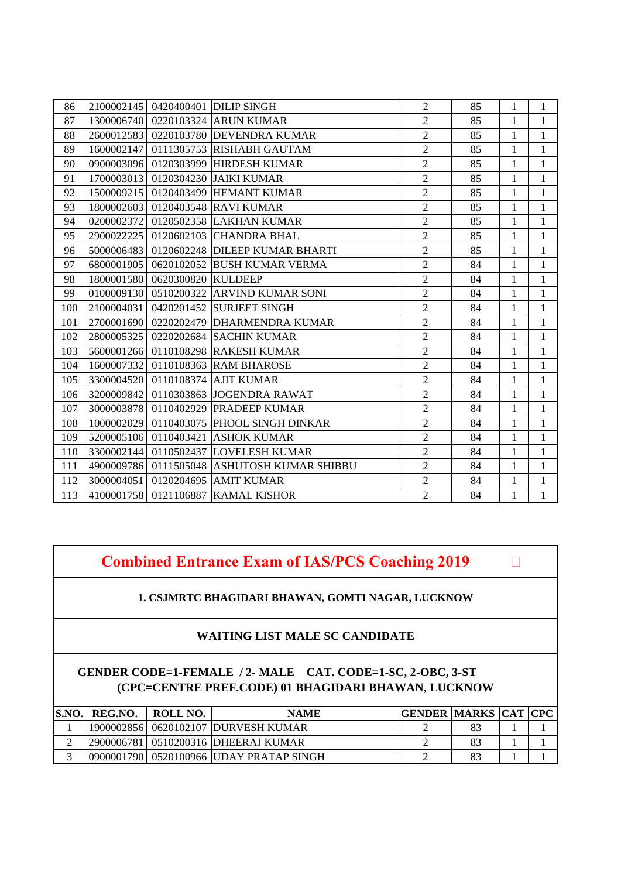| 86  |            |                               | 2100002145 0420400401 DILIP SINGH           | $\overline{2}$ | 85 | $\mathbf{1}$ | $\mathbf{1}$ |
|-----|------------|-------------------------------|---------------------------------------------|----------------|----|--------------|--------------|
| 87  |            |                               | 1300006740 0220103324 ARUN KUMAR            | $\overline{2}$ | 85 | $\mathbf{1}$ | $\mathbf{1}$ |
| 88  |            |                               | 2600012583 0220103780 DEVENDRA KUMAR        | $\overline{2}$ | 85 | $\mathbf{1}$ | $\mathbf{1}$ |
| 89  |            |                               | 1600002147 0111305753 RISHABH GAUTAM        | $\overline{2}$ | 85 | 1            | $\mathbf{1}$ |
| 90  |            |                               | 0900003096 0120303999 HIRDESH KUMAR         | $\overline{2}$ | 85 | $\mathbf{1}$ | $\mathbf{1}$ |
| 91  |            |                               | 1700003013 0120304230 JAIKI KUMAR           | $\overline{2}$ | 85 | $\mathbf{1}$ | $\mathbf{1}$ |
| 92  |            |                               | 1500009215 0120403499 HEMANT KUMAR          | $\overline{2}$ | 85 | $\mathbf{1}$ | $\mathbf{1}$ |
| 93  | 1800002603 |                               | 0120403548 RAVI KUMAR                       | $\overline{2}$ | 85 | $\mathbf{1}$ | $\mathbf{1}$ |
| 94  |            |                               | 0200002372 0120502358 LAKHAN KUMAR          | $\overline{2}$ | 85 | $\mathbf{1}$ | $\mathbf{1}$ |
| 95  |            |                               | 2900022225 0120602103 CHANDRA BHAL          | $\overline{2}$ | 85 | $\mathbf{1}$ | $\mathbf{1}$ |
| 96  | 5000006483 |                               | 0120602248 DILEEP KUMAR BHARTI              | $\overline{2}$ | 85 | $\mathbf{1}$ | $\mathbf{1}$ |
| 97  |            |                               | 6800001905 0620102052 BUSH KUMAR VERMA      | $\overline{2}$ | 84 | $\mathbf{1}$ | $\mathbf{1}$ |
| 98  |            | 1800001580 0620300820 KULDEEP |                                             | $\overline{2}$ | 84 | $\mathbf{1}$ | $\mathbf{1}$ |
| 99  |            |                               | 0100009130   0510200322   ARVIND KUMAR SONI | $\overline{2}$ | 84 | $\mathbf{1}$ | $\mathbf{1}$ |
| 100 |            |                               | 2100004031 0420201452 SURJEET SINGH         | $\overline{2}$ | 84 | $\mathbf{1}$ | $\mathbf{1}$ |
| 101 |            |                               | 2700001690 0220202479 DHARMENDRA KUMAR      | $\overline{2}$ | 84 | $\mathbf{1}$ | $\mathbf{1}$ |
| 102 | 2800005325 |                               | 0220202684 SACHIN KUMAR                     | $\overline{2}$ | 84 | $\mathbf{1}$ | $\,1\,$      |
| 103 |            |                               | 5600001266 0110108298 RAKESH KUMAR          | $\overline{2}$ | 84 | $\mathbf{1}$ | $\mathbf{1}$ |
| 104 |            |                               | 1600007332 0110108363 RAM BHAROSE           | $\overline{2}$ | 84 | $\mathbf{1}$ | $\mathbf{1}$ |
| 105 |            |                               | 3300004520 0110108374 AJIT KUMAR            | $\overline{2}$ | 84 | $\mathbf{1}$ | $\mathbf{1}$ |
| 106 |            |                               | 3200009842 0110303863 JOGENDRA RAWAT        | $\overline{2}$ | 84 | $\mathbf{1}$ | $\mathbf{1}$ |
| 107 |            |                               | 3000003878 0110402929 PRADEEP KUMAR         | $\overline{2}$ | 84 | $\mathbf{1}$ | $\mathbf{1}$ |
| 108 | 1000002029 |                               | 0110403075 PHOOL SINGH DINKAR               | $\overline{2}$ | 84 | $\mathbf{1}$ | $\mathbf{1}$ |
| 109 |            |                               | 5200005106 0110403421 ASHOK KUMAR           | $\overline{2}$ | 84 | $\mathbf{1}$ | $\mathbf{1}$ |
| 110 |            |                               | 3300002144 0110502437 LOVELESH KUMAR        | $\overline{2}$ | 84 | $\mathbf{1}$ | $\mathbf{1}$ |
| 111 | 4900009786 |                               | 0111505048 ASHUTOSH KUMAR SHIBBU            | $\overline{2}$ | 84 | $\mathbf{1}$ | $\mathbf{1}$ |
| 112 |            |                               | 3000004051 0120204695 AMIT KUMAR            | $\overline{2}$ | 84 | $\mathbf{1}$ | $\mathbf{1}$ |
| 113 |            |                               | 4100001758 0121106887 KAMAL KISHOR          | $\overline{2}$ | 84 | $\mathbf{1}$ | $\mathbf{1}$ |

**Combined Entrance Exam of IAS/PCS Coaching 2019** 

**1. CSJMRTC BHAGIDARI BHAWAN, GOMTI NAGAR, LUCKNOW** 

# **WAITING LIST MALE SC CANDIDATE**

| S.NO. REG.NO. | ROLL NO. | <b>NAME</b>                            | <b>GENDER MARKS CAT CPC</b> |  |  |
|---------------|----------|----------------------------------------|-----------------------------|--|--|
|               |          | 19000028561 0620102107 IDURVESH KUMAR  |                             |  |  |
|               |          | 2900006781   0510200316  DHEERAJ KUMAR |                             |  |  |
|               |          |                                        |                             |  |  |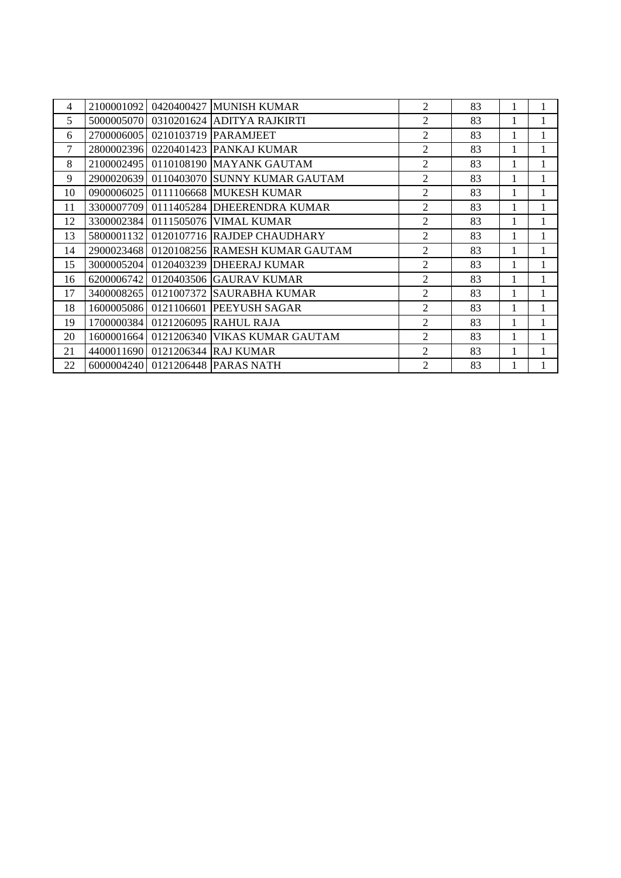| 4      | 2100001092 | 0420400427 MUNISH KUMAR                   | $\overline{c}$ | 83 |   |  |
|--------|------------|-------------------------------------------|----------------|----|---|--|
| 5      |            | 5000005070 0310201624 ADITYA RAJKIRTI     | $\overline{c}$ | 83 | 1 |  |
| 6      | 2700006005 | 0210103719 PARAMJEET                      | $\overline{2}$ | 83 | 1 |  |
| $\tau$ |            | 2800002396 0220401423 PANKAJ KUMAR        | $\overline{2}$ | 83 | 1 |  |
| 8      |            | 2100002495 0110108190 MAYANK GAUTAM       | $\overline{c}$ | 83 | 1 |  |
| 9      |            | 2900020639 0110403070 SUNNY KUMAR GAUTAM  | $\overline{2}$ | 83 | 1 |  |
| 10     |            | 0900006025 0111106668 MUKESH KUMAR        | $\overline{2}$ | 83 | 1 |  |
| 11     |            | 3300007709 0111405284 DHEERENDRA KUMAR    | $\overline{2}$ | 83 | 1 |  |
| 12     |            | 3300002384 0111505076 VIMAL KUMAR         | $\overline{2}$ | 83 | 1 |  |
| 13     |            | 5800001132 0120107716 RAJDEP CHAUDHARY    | $\overline{2}$ | 83 | 1 |  |
| 14     |            | 2900023468 0120108256 RAMESH KUMAR GAUTAM | 2              | 83 | 1 |  |
| 15     |            | 3000005204 0120403239 DHEERAJ KUMAR       | $\overline{2}$ | 83 | 1 |  |
| 16     |            | 6200006742 0120403506 GAURAV KUMAR        | $\overline{2}$ | 83 | 1 |  |
| 17     |            | 3400008265   0121007372   SAURABHA KUMAR  | 2              | 83 | 1 |  |
| 18     |            | 1600005086 0121106601 PEEYUSH SAGAR       | $\overline{2}$ | 83 | 1 |  |
| 19     |            | 1700000384 0121206095 RAHUL RAJA          | $\overline{2}$ | 83 | 1 |  |
| 20     |            | 1600001664 0121206340 VIKAS KUMAR GAUTAM  | $\overline{2}$ | 83 | 1 |  |
| 21     |            | 4400011690 0121206344 RAJ KUMAR           | $\overline{2}$ | 83 |   |  |
| 22     |            | 6000004240 0121206448 PARAS NATH          | $\overline{2}$ | 83 |   |  |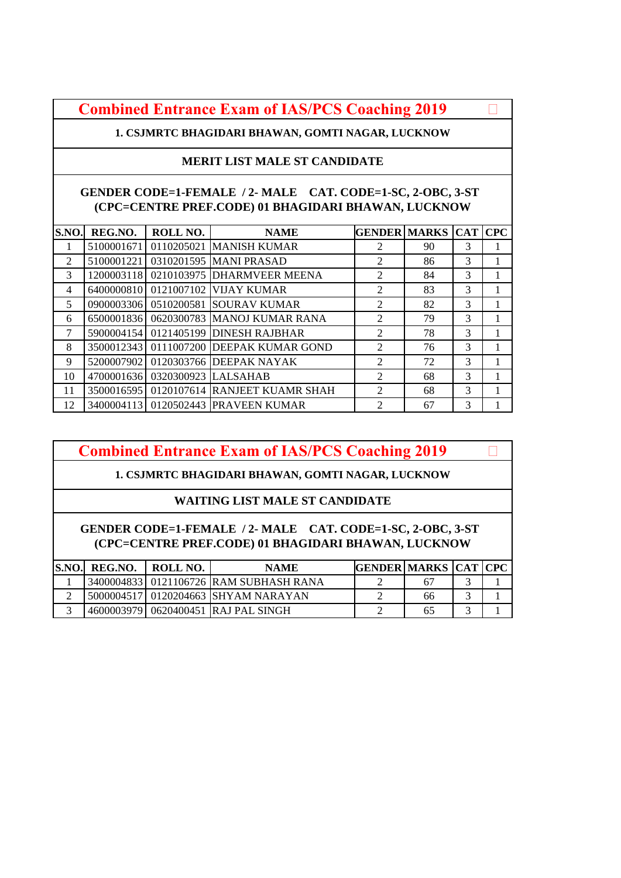**Combined Entrance Exam of IAS/PCS Coaching 2019** 

**1. CSJMRTC BHAGIDARI BHAWAN, GOMTI NAGAR, LUCKNOW** 

## **MERIT LIST MALE ST CANDIDATE**

### **GENDER CODE=1-FEMALE / 2- MALE CAT. CODE=1-SC, 2-OBC, 3-ST (CPC=CENTRE PREF.CODE) 01 BHAGIDARI BHAWAN, LUCKNOW**

| S.NO.          | REG.NO.    | ROLL NO.                       | <b>NAME</b>                              | <b>GENDER MARKS CAT CPC</b> |    |               |  |
|----------------|------------|--------------------------------|------------------------------------------|-----------------------------|----|---------------|--|
| л.             | 5100001671 |                                | 0110205021 MANISH KUMAR                  | 2                           | 90 | 3             |  |
| $\mathfrak{D}$ | 5100001221 |                                | 0310201595 MANI PRASAD                   | 2                           | 86 | 3             |  |
| 3              |            |                                | 1200003118 0210103975 DHARMVEER MEENA    | $\overline{2}$              | 84 | 3             |  |
| $\overline{4}$ |            |                                | 6400000810 0121007102 VIJAY KUMAR        | $\overline{2}$              | 83 | 3             |  |
| 5              |            |                                | 0900003306 0510200581 SOURAV KUMAR       | $\mathfrak{D}$              | 82 | $\mathcal{R}$ |  |
| 6              |            |                                | 6500001836 0620300783 MANOJ KUMAR RANA   | $\mathfrak{D}$              | 79 | 3             |  |
| $\tau$         |            |                                | 5900004154 0121405199 DINESH RAJBHAR     | 2                           | 78 | 3             |  |
| 8              |            |                                | 3500012343 0111007200 DEEPAK KUMAR GOND  | 2                           | 76 | 3             |  |
| 9              |            |                                | 5200007902 0120303766 DEEPAK NAYAK       | $\mathfrak{D}$              | 72 | 3             |  |
| 10             |            | 4700001636 0320300923 LALSAHAB |                                          | 2                           | 68 | 3             |  |
| 11             |            |                                | 3500016595 0120107614 RANJEET KUAMR SHAH | $\mathfrak{D}$              | 68 | 3             |  |
| 12             |            |                                | 3400004113 0120502443 PRAVEEN KUMAR      | $\mathfrak{D}$              | 67 | 3             |  |

# **Combined Entrance Exam of IAS/PCS Coaching 2019**

# **1. CSJMRTC BHAGIDARI BHAWAN, GOMTI NAGAR, LUCKNOW**

# **WAITING LIST MALE ST CANDIDATE**

| S.NO. | REG.NO. | ROLL NO. | <b>NAME</b>                            | <b>GENDER MARKS CAT CPC</b> |    |  |
|-------|---------|----------|----------------------------------------|-----------------------------|----|--|
|       |         |          | 3400004833 0121106726 RAM SUBHASH RANA |                             |    |  |
|       |         |          | 5000004517 0120204663 SHYAM NARAYAN    |                             | 66 |  |
|       |         |          | 46000039791 0620400451 IRAJ PAL SINGH  |                             | რბ |  |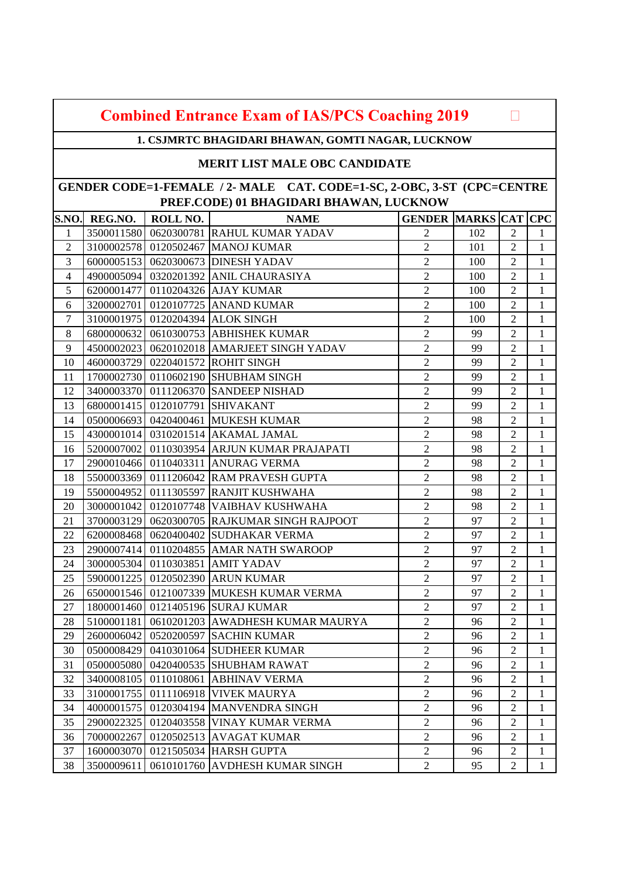| <b>Combined Entrance Exam of IAS/PCS Coaching 2019</b> |  |
|--------------------------------------------------------|--|
|--------------------------------------------------------|--|

**1. CSJMRTC BHAGIDARI BHAWAN, GOMTI NAGAR, LUCKNOW** 

### **MERIT LIST MALE OBC CANDIDATE**

| S.NO.          | REG.NO.    | ROLL NO. | <b>NAME</b>                                  | <b>GENDER MARKS CAT CPC</b> |     |                |              |
|----------------|------------|----------|----------------------------------------------|-----------------------------|-----|----------------|--------------|
| 1              |            |          | 3500011580 0620300781 RAHUL KUMAR YADAV      | $\mathfrak{2}$              | 102 | $\overline{2}$ | 1            |
| $\overline{2}$ |            |          | 3100002578 0120502467 MANOJ KUMAR            | $\overline{2}$              | 101 | $\overline{2}$ | 1            |
| 3              |            |          | 6000005153 0620300673 DINESH YADAV           | $\overline{2}$              | 100 | $\overline{2}$ | $\mathbf{1}$ |
| $\overline{4}$ |            |          | 4900005094 0320201392 ANIL CHAURASIYA        | $\sqrt{2}$                  | 100 | $\overline{2}$ | $\mathbf{1}$ |
| 5              |            |          | 6200001477 0110204326 AJAY KUMAR             | $\overline{2}$              | 100 | $\overline{2}$ | 1            |
| 6              |            |          | 3200002701 0120107725 ANAND KUMAR            | $\overline{2}$              | 100 | $\overline{2}$ | 1            |
| $\tau$         |            |          | 3100001975 0120204394 ALOK SINGH             | $\overline{2}$              | 100 | $\overline{2}$ | $\mathbf{1}$ |
| 8              | 6800000632 |          | 0610300753 ABHISHEK KUMAR                    | $\overline{c}$              | 99  | $\overline{c}$ | $\mathbf{1}$ |
| 9              |            |          | 4500002023 0620102018 AMARJEET SINGH YADAV   | $\overline{2}$              | 99  | $\overline{2}$ | $\mathbf{1}$ |
| 10             |            |          | 4600003729 0220401572 ROHIT SINGH            | $\overline{2}$              | 99  | $\overline{2}$ | $\mathbf{1}$ |
| 11             |            |          | 1700002730 0110602190 SHUBHAM SINGH          | $\overline{c}$              | 99  | $\overline{2}$ | $\mathbf{1}$ |
| 12             |            |          | 3400003370 0111206370 SANDEEP NISHAD         | $\overline{2}$              | 99  | $\overline{2}$ | 1            |
| 13             |            |          | 6800001415 0120107791 SHIVAKANT              | $\overline{c}$              | 99  | $\overline{2}$ | $\mathbf{1}$ |
| 14             |            |          | 0500006693 0420400461 MUKESH KUMAR           | $\sqrt{2}$                  | 98  | $\overline{2}$ | $\mathbf{1}$ |
| 15             |            |          | 4300001014 0310201514 AKAMAL JAMAL           | $\overline{2}$              | 98  | $\overline{2}$ | $\mathbf{1}$ |
| 16             |            |          | 5200007002 0110303954 ARJUN KUMAR PRAJAPATI  | $\overline{2}$              | 98  | $\overline{2}$ | 1            |
| 17             |            |          | 2900010466 0110403311 ANURAG VERMA           | $\overline{2}$              | 98  | $\overline{2}$ | $\mathbf{1}$ |
| 18             |            |          | 5500003369 0111206042 RAM PRAVESH GUPTA      | $\overline{2}$              | 98  | $\overline{2}$ | 1            |
| 19             |            |          | 5500004952 0111305597 RANJIT KUSHWAHA        | $\overline{2}$              | 98  | $\mathfrak{2}$ | $\mathbf{1}$ |
| 20             |            |          | 3000001042 0120107748 VAIBHAV KUSHWAHA       | $\sqrt{2}$                  | 98  | $\mathfrak{2}$ | 1            |
| 21             |            |          | 3700003129 0620300705 RAJKUMAR SINGH RAJPOOT | $\overline{2}$              | 97  | $\overline{2}$ | $\mathbf{1}$ |
| 22             |            |          | 6200008468   0620400402 SUDHAKAR VERMA       | $\overline{2}$              | 97  | $\mathfrak{2}$ | $\mathbf{1}$ |
| 23             |            |          | 2900007414 0110204855 AMAR NATH SWAROOP      | $\overline{2}$              | 97  | $\overline{2}$ | $\mathbf{1}$ |
| 24             |            |          | 3000005304 0110303851 AMIT YADAV             | $\overline{2}$              | 97  | $\overline{2}$ | $\mathbf{1}$ |
| 25             |            |          | 5900001225 0120502390 ARUN KUMAR             | $\overline{c}$              | 97  | $\mathbf{2}$   | 1            |
| 26             |            |          | 6500001546 0121007339 MUKESH KUMAR VERMA     | $\overline{2}$              | 97  | $\overline{2}$ | $\mathbf{1}$ |
| 27             |            |          | 1800001460 0121405196 SURAJ KUMAR            | $\overline{2}$              | 97  | $\overline{2}$ | 1            |
| 28             | 5100001181 |          | 0610201203 AWADHESH KUMAR MAURYA             | $\overline{c}$              | 96  | $\overline{2}$ | $\mathbf{1}$ |
| 29             |            |          | 2600006042 0520200597 SACHIN KUMAR           | $\overline{2}$              | 96  | $\mathbf{2}$   | $\mathbf{1}$ |
| 30             |            |          | 0500008429 0410301064 SUDHEER KUMAR          | $\overline{c}$              | 96  | $\overline{c}$ | 1            |
| 31             |            |          | 0500005080 0420400535 SHUBHAM RAWAT          | $\overline{c}$              | 96  | $\overline{2}$ | $\mathbf{1}$ |
| 32             |            |          | 3400008105 0110108061 ABHINAV VERMA          | 2                           | 96  | 2              | 1            |
| 33             | 3100001755 |          | 0111106918 VIVEK MAURYA                      | $\overline{c}$              | 96  | $\overline{2}$ | 1            |
| 34             | 4000001575 |          | 0120304194 MANVENDRA SINGH                   | $\sqrt{2}$                  | 96  | $\mathbf{2}$   | 1            |
| 35             | 2900022325 |          | 0120403558 VINAY KUMAR VERMA                 | $\sqrt{2}$                  | 96  | $\overline{2}$ | 1            |
| 36             | 7000002267 |          | 0120502513 AVAGAT KUMAR                      | $\overline{2}$              | 96  | $\overline{2}$ | 1            |
| 37             | 1600003070 |          | 0121505034 HARSH GUPTA                       | $\overline{c}$              | 96  | $\overline{2}$ | 1            |
| 38             | 3500009611 |          | 0610101760 AVDHESH KUMAR SINGH               | $\overline{c}$              | 95  | $\mathbf{2}$   | 1            |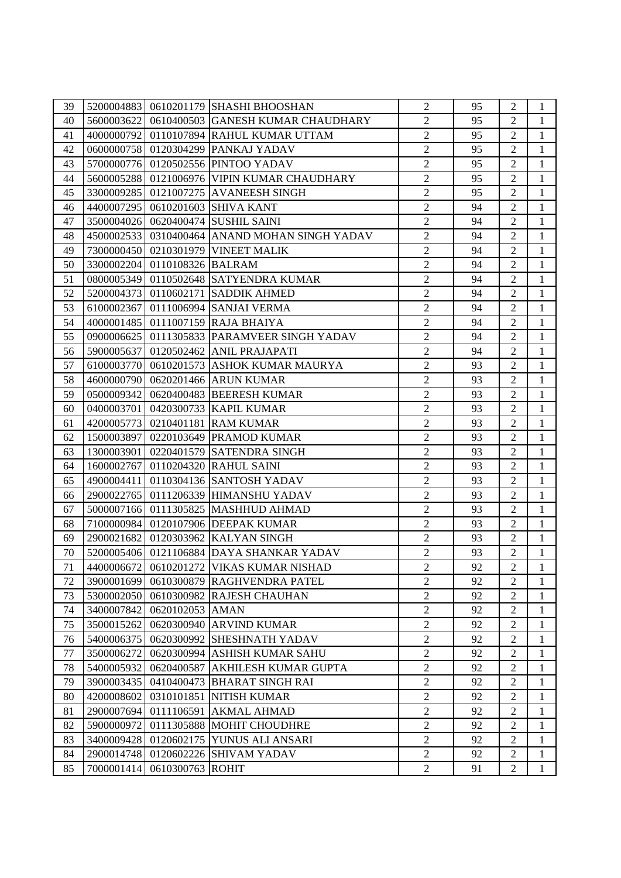| 39 |            |                              | 5200004883   0610201179 SHASHI BHOOSHAN       | $\overline{2}$ | 95 | $\overline{2}$ | $\mathbf{1}$   |
|----|------------|------------------------------|-----------------------------------------------|----------------|----|----------------|----------------|
| 40 |            |                              | 5600003622 0610400503 GANESH KUMAR CHAUDHARY  | $\overline{2}$ | 95 | $\overline{2}$ | $\mathbf{1}$   |
| 41 |            |                              | 4000000792 0110107894 RAHUL KUMAR UTTAM       | $\overline{c}$ | 95 | $\overline{2}$ | $\mathbf{1}$   |
| 42 |            |                              | 0600000758 0120304299 PANKAJ YADAV            | $\overline{2}$ | 95 | $\overline{2}$ | 1              |
| 43 |            |                              | 5700000776 0120502556 PINTOO YADAV            | $\overline{c}$ | 95 | $\overline{2}$ | $\mathbf{1}$   |
| 44 |            |                              | 5600005288 0121006976 VIPIN KUMAR CHAUDHARY   | $\overline{c}$ | 95 | $\overline{2}$ | $\mathbf{1}$   |
| 45 |            |                              | 3300009285 0121007275 AVANEESH SINGH          | $\overline{2}$ | 95 | $\overline{2}$ | 1              |
| 46 |            |                              | 4400007295 0610201603 SHIVA KANT              | $\overline{2}$ | 94 | $\overline{2}$ | 1              |
| 47 |            |                              | 3500004026 0620400474 SUSHIL SAINI            | $\overline{2}$ | 94 | $\overline{2}$ | $\mathbf{1}$   |
| 48 |            |                              | 4500002533 0310400464 ANAND MOHAN SINGH YADAV | $\overline{2}$ | 94 | $\overline{2}$ | 1              |
| 49 |            |                              | 7300000450 0210301979 VINEET MALIK            | $\overline{2}$ | 94 | $\overline{2}$ | $\mathbf{1}$   |
| 50 |            | 3300002204 0110108326 BALRAM |                                               | $\overline{2}$ | 94 | $\overline{2}$ | $\mathbf{1}$   |
| 51 |            |                              | 0800005349 0110502648 SATYENDRA KUMAR         | $\overline{2}$ | 94 | $\overline{2}$ | 1              |
| 52 |            |                              | 5200004373 0110602171 SADDIK AHMED            | $\overline{2}$ | 94 | $\overline{2}$ | 1              |
| 53 |            |                              | 6100002367 0111006994 SANJAI VERMA            | $\overline{2}$ | 94 | $\overline{2}$ | $\mathbf{1}$   |
| 54 |            |                              | 4000001485 0111007159 RAJA BHAIYA             | $\sqrt{2}$     | 94 | $\overline{2}$ | $\mathbf{1}$   |
| 55 |            |                              | 0900006625   0111305833 PARAMVEER SINGH YADAV | $\overline{c}$ | 94 | $\overline{2}$ | 1              |
| 56 |            |                              | 5900005637 0120502462 ANIL PRAJAPATI          | $\overline{2}$ | 94 | $\overline{2}$ | 1              |
| 57 |            |                              | 6100003770 0610201573 ASHOK KUMAR MAURYA      | $\overline{2}$ | 93 | $\overline{2}$ | 1              |
| 58 |            |                              | 4600000790 0620201466 ARUN KUMAR              | $\overline{2}$ | 93 | $\overline{2}$ | 1              |
| 59 |            |                              | 0500009342 0620400483 BEERESH KUMAR           | $\overline{2}$ | 93 | $\overline{2}$ | $\mathbf{1}$   |
| 60 |            |                              | 0400003701 0420300733 KAPIL KUMAR             | $\overline{2}$ | 93 | $\overline{2}$ | 1              |
| 61 |            |                              | 4200005773 0210401181 RAM KUMAR               | $\overline{2}$ | 93 | $\overline{2}$ | $\mathbf{1}$   |
| 62 |            |                              | 1500003897 0220103649 PRAMOD KUMAR            | $\overline{2}$ | 93 | $\overline{2}$ | 1              |
| 63 |            |                              | 1300003901 0220401579 SATENDRA SINGH          | $\overline{c}$ | 93 | $\overline{2}$ | $\mathbf{1}$   |
| 64 |            |                              | 1600002767 0110204320 RAHUL SAINI             | $\overline{2}$ | 93 | $\overline{2}$ | $\mathbf{1}$   |
| 65 |            |                              | 4900004411 0110304136 SANTOSH YADAV           | $\sqrt{2}$     | 93 | $\overline{2}$ | 1              |
| 66 |            |                              | 2900022765 0111206339 HIMANSHU YADAV          | $\overline{2}$ | 93 | $\overline{2}$ | 1              |
| 67 |            |                              | 5000007166 0111305825 MASHHUD AHMAD           | $\overline{2}$ | 93 | $\overline{2}$ | $\mathbf{1}$   |
| 68 |            |                              | 7100000984 0120107906 DEEPAK KUMAR            | $\overline{2}$ | 93 | $\overline{2}$ | $\mathbf{1}$   |
| 69 |            |                              | 2900021682 0120303962 KALYAN SINGH            | $\overline{2}$ | 93 | $\overline{2}$ | $\mathbf{1}$   |
| 70 |            |                              | 5200005406 0121106884 DAYA SHANKAR YADAV      | $\sqrt{2}$     | 93 | $\overline{2}$ | $\mathbf{1}$   |
|    |            |                              | 71 4400006672 0610201272 VIKAS KUMAR NISHAD   | $\sqrt{2}$     | 92 | 2              | $\overline{1}$ |
| 72 | 3900001699 |                              | 0610300879 RAGHVENDRA PATEL                   | $\overline{2}$ | 92 | $\overline{2}$ | 1              |
| 73 | 5300002050 |                              | 0610300982 RAJESH CHAUHAN                     | $\overline{2}$ | 92 | $\overline{2}$ | 1              |
| 74 | 3400007842 | 0620102053 AMAN              |                                               | $\overline{c}$ | 92 | $\overline{2}$ | 1              |
| 75 | 3500015262 |                              | 0620300940 ARVIND KUMAR                       | $\overline{2}$ | 92 | 2              | 1              |
| 76 | 5400006375 |                              | 0620300992 SHESHNATH YADAV                    | $\overline{2}$ | 92 | $\overline{2}$ | 1              |
| 77 | 3500006272 |                              | 0620300994 ASHISH KUMAR SAHU                  | $\overline{2}$ | 92 | 2              | 1              |
| 78 | 5400005932 |                              | 0620400587 AKHILESH KUMAR GUPTA               | $\overline{2}$ | 92 | $\overline{2}$ | 1              |
| 79 | 3900003435 |                              | 0410400473 BHARAT SINGH RAI                   | $\overline{2}$ | 92 | $\overline{2}$ | 1              |
| 80 | 4200008602 |                              | 0310101851 NITISH KUMAR                       | $\overline{2}$ | 92 | $\overline{2}$ | 1              |
| 81 |            |                              | 2900007694 0111106591 AKMAL AHMAD             | $\overline{2}$ | 92 | $\overline{2}$ | 1              |
| 82 | 5900000972 |                              | 0111305888 MOHIT CHOUDHRE                     | $\overline{2}$ | 92 | $\overline{2}$ | 1              |
| 83 | 3400009428 |                              | 0120602175 YUNUS ALI ANSARI                   | $\overline{2}$ | 92 | $\overline{2}$ | $\mathbf{1}$   |
| 84 | 2900014748 |                              | 0120602226 SHIVAM YADAV                       | $\overline{2}$ | 92 | $\mathbf{2}$   | $\mathbf{1}$   |
| 85 | 7000001414 | 0610300763 ROHIT             |                                               | $\overline{2}$ | 91 | $\overline{c}$ | 1              |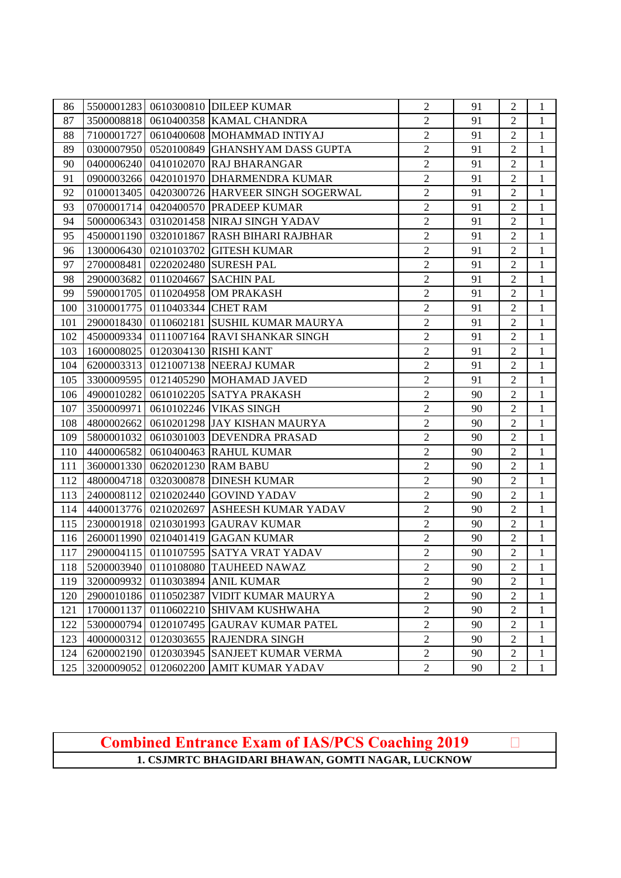| 86  |            |                                | 5500001283 0610300810 DILEEP KUMAR              | $\overline{2}$ | 91 | $\mathfrak{2}$ | $\mathbf{1}$ |
|-----|------------|--------------------------------|-------------------------------------------------|----------------|----|----------------|--------------|
| 87  |            |                                | 3500008818 0610400358 KAMAL CHANDRA             | $\overline{2}$ | 91 | $\overline{2}$ | $\mathbf{1}$ |
| 88  |            |                                | 7100001727 0610400608 MOHAMMAD INTIYAJ          | $\overline{2}$ | 91 | $\overline{2}$ | $\mathbf{1}$ |
| 89  |            |                                | 0300007950 0520100849 GHANSHYAM DASS GUPTA      | $\overline{2}$ | 91 | $\overline{2}$ | 1            |
| 90  |            |                                | 0400006240 0410102070 RAJ BHARANGAR             | $\overline{c}$ | 91 | $\overline{2}$ | $\mathbf{1}$ |
| 91  |            |                                | 0900003266 0420101970 DHARMENDRA KUMAR          | $\overline{2}$ | 91 | $\overline{2}$ | $\mathbf{1}$ |
| 92  |            |                                | 0100013405   0420300726  HARVEER SINGH SOGERWAL | $\overline{2}$ | 91 | $\overline{2}$ | 1            |
| 93  |            |                                | 0700001714 0420400570 PRADEEP KUMAR             | $\overline{2}$ | 91 | $\overline{2}$ | 1            |
| 94  |            |                                | 5000006343 0310201458 NIRAJ SINGH YADAV         | $\overline{2}$ | 91 | $\overline{2}$ | $\mathbf{1}$ |
| 95  |            |                                | 4500001190 0320101867 RASH BIHARI RAJBHAR       | $\overline{2}$ | 91 | $\overline{2}$ | 1            |
| 96  |            |                                | 1300006430 0210103702 GITESH KUMAR              | $\overline{2}$ | 91 | $\mathfrak{2}$ | $\mathbf{1}$ |
| 97  |            |                                | 2700008481 0220202480 SURESH PAL                | $\overline{c}$ | 91 | $\overline{c}$ | $\mathbf{1}$ |
| 98  |            |                                | 2900003682 0110204667 SACHIN PAL                | $\overline{2}$ | 91 | $\overline{2}$ | $\mathbf{1}$ |
| 99  |            |                                | 5900001705 0110204958 OM PRAKASH                | $\overline{2}$ | 91 | $\overline{2}$ | 1            |
| 100 |            | 3100001775 0110403344 CHET RAM |                                                 | $\overline{2}$ | 91 | $\overline{2}$ | $\mathbf{1}$ |
| 101 |            |                                | 2900018430 0110602181 SUSHIL KUMAR MAURYA       | $\overline{2}$ | 91 | $\overline{2}$ | $\mathbf{1}$ |
| 102 |            |                                | 4500009334 0111007164 RAVI SHANKAR SINGH        | $\overline{2}$ | 91 | $\overline{2}$ | 1            |
| 103 |            |                                | 1600008025 0120304130 RISHI KANT                | $\overline{2}$ | 91 | $\overline{2}$ | 1            |
| 104 |            |                                | 6200003313 0121007138 NEERAJ KUMAR              | $\overline{c}$ | 91 | $\overline{2}$ | $\mathbf{1}$ |
| 105 |            |                                | 3300009595   0121405290 MOHAMAD JAVED           | $\overline{2}$ | 91 | $\overline{2}$ | 1            |
| 106 |            |                                | 4900010282 0610102205 SATYA PRAKASH             | $\overline{2}$ | 90 | $\mathfrak{2}$ | $\mathbf{1}$ |
| 107 |            |                                | 3500009971 0610102246 VIKAS SINGH               | $\sqrt{2}$     | 90 | $\mathfrak{2}$ | $\mathbf{1}$ |
| 108 |            |                                | 4800002662 0610201298 JAY KISHAN MAURYA         | $\overline{2}$ | 90 | $\overline{2}$ | $\mathbf{1}$ |
| 109 |            |                                | 5800001032 0610301003 DEVENDRA PRASAD           | $\overline{2}$ | 90 | $\overline{2}$ | $\mathbf{1}$ |
| 110 |            |                                | 4400006582 0610400463 RAHUL KUMAR               | $\overline{c}$ | 90 | $\overline{2}$ | $\mathbf{1}$ |
| 111 |            | 3600001330 0620201230 RAM BABU |                                                 | $\overline{2}$ | 90 | $\overline{2}$ | $\mathbf{1}$ |
| 112 |            |                                | 4800004718 0320300878 DINESH KUMAR              | $\overline{2}$ | 90 | $\overline{2}$ | 1            |
| 113 |            |                                | 2400008112 0210202440 GOVIND YADAV              | $\overline{2}$ | 90 | $\overline{2}$ | $\mathbf{1}$ |
| 114 |            |                                | 4400013776 0210202697 ASHEESH KUMAR YADAV       | $\overline{2}$ | 90 | $\overline{2}$ | $\mathbf{1}$ |
| 115 |            |                                | 2300001918 0210301993 GAURAV KUMAR              | $\overline{2}$ | 90 | $\overline{2}$ | $\mathbf{1}$ |
| 116 |            |                                | 2600011990 0210401419 GAGAN KUMAR               | $\overline{2}$ | 90 | $\mathfrak{2}$ | $\mathbf{1}$ |
| 117 |            |                                | 2900004115 0110107595 SATYA VRAT YADAV          | $\sqrt{2}$     | 90 | $\overline{c}$ | $\mathbf{1}$ |
|     |            |                                | 118 5200003940 0110108080 TAUHEED NAWAZ         | $\sqrt{2}$     | 90 | $\frac{1}{2}$  | $\mathbf{1}$ |
| 119 | 3200009932 |                                | 0110303894 ANIL KUMAR                           | $\overline{2}$ | 90 | $\overline{2}$ | 1            |
| 120 |            |                                | 2900010186 0110502387 VIDIT KUMAR MAURYA        | $\overline{2}$ | 90 | $\overline{2}$ | 1            |
| 121 | 1700001137 |                                | 0110602210 SHIVAM KUSHWAHA                      | $\overline{2}$ | 90 | 2              | 1            |
| 122 | 5300000794 |                                | 0120107495 GAURAV KUMAR PATEL                   | $\overline{2}$ | 90 | 2              | 1            |
| 123 | 4000000312 |                                | 0120303655 RAJENDRA SINGH                       | $\overline{2}$ | 90 | 2              | 1            |
| 124 | 6200002190 |                                | 0120303945 SANJEET KUMAR VERMA                  | $\overline{2}$ | 90 | $\overline{2}$ | 1            |
| 125 | 3200009052 |                                | 0120602200 AMIT KUMAR YADAV                     | $\overline{2}$ | 90 | $\mathfrak{2}$ | 1            |

**1. CSJMRTC BHAGIDARI BHAWAN, GOMTI NAGAR, LUCKNOW Combined Entrance Exam of IAS/PCS Coaching 2019**